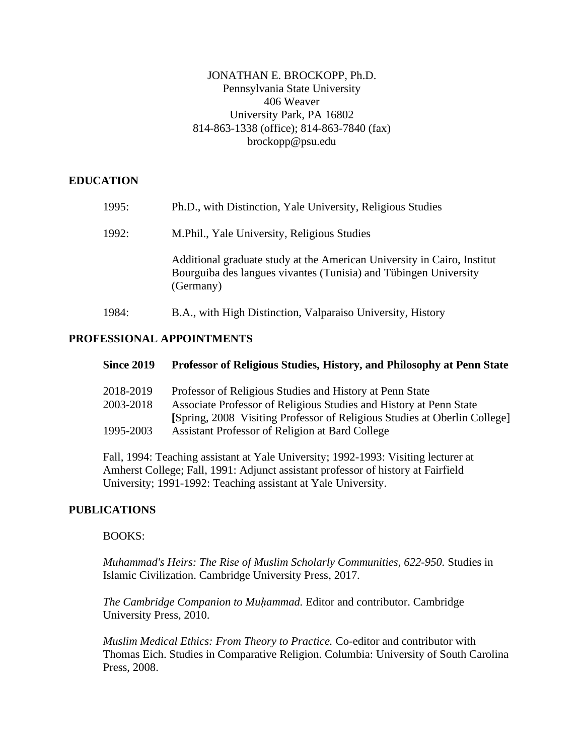## JONATHAN E. BROCKOPP, Ph.D. Pennsylvania State University 406 Weaver University Park, PA 16802 814-863-1338 (office); 814-863-7840 (fax) brockopp@psu.edu

# **EDUCATION**

| 1995: | Ph.D., with Distinction, Yale University, Religious Studies                                                                                              |
|-------|----------------------------------------------------------------------------------------------------------------------------------------------------------|
| 1992: | M. Phil., Yale University, Religious Studies                                                                                                             |
|       | Additional graduate study at the American University in Cairo, Institut<br>Bourguiba des langues vivantes (Tunisia) and Tübingen University<br>(Germany) |
| 1984: | B.A., with High Distinction, Valparaiso University, History                                                                                              |

# **PROFESSIONAL APPOINTMENTS**

| <b>Since 2019</b> | <b>Professor of Religious Studies, History, and Philosophy at Penn State</b> |
|-------------------|------------------------------------------------------------------------------|
| 2018-2019         | Professor of Religious Studies and History at Penn State                     |
| 2003-2018         | Associate Professor of Religious Studies and History at Penn State           |
|                   | [Spring, 2008 Visiting Professor of Religious Studies at Oberlin College]    |
| 1995-2003         | Assistant Professor of Religion at Bard College                              |

Fall, 1994: Teaching assistant at Yale University; 1992-1993: Visiting lecturer at Amherst College; Fall, 1991: Adjunct assistant professor of history at Fairfield University; 1991-1992: Teaching assistant at Yale University.

# **PUBLICATIONS**

# BOOKS:

*Muhammad's Heirs: The Rise of Muslim Scholarly Communities, 622-950.* Studies in Islamic Civilization. Cambridge University Press, 2017.

*The Cambridge Companion to Muḥammad.* Editor and contributor. Cambridge University Press, 2010.

*Muslim Medical Ethics: From Theory to Practice.* Co-editor and contributor with Thomas Eich. Studies in Comparative Religion. Columbia: University of South Carolina Press, 2008.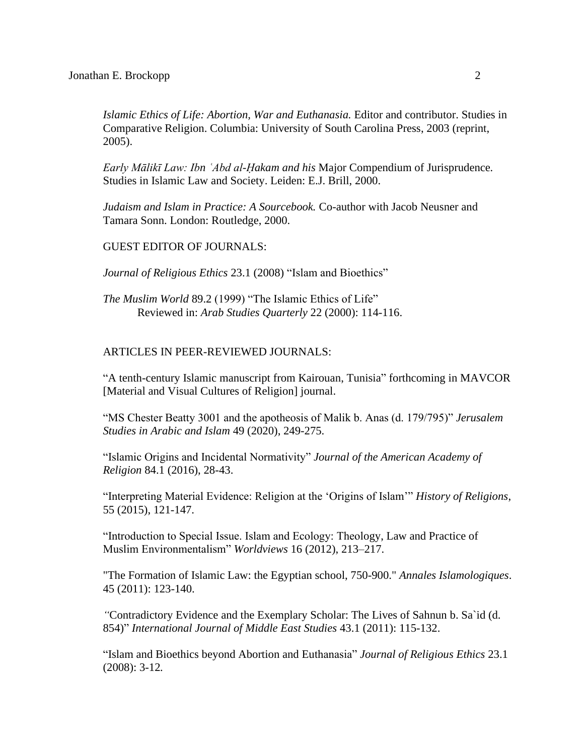*Islamic Ethics of Life: Abortion, War and Euthanasia.* Editor and contributor. Studies in Comparative Religion. Columbia: University of South Carolina Press, 2003 (reprint, 2005).

*Early Mālikī Law: Ibn ʿAbd al-Ḥakam and his* Major Compendium of Jurisprudence*.* Studies in Islamic Law and Society. Leiden: E.J. Brill, 2000.

*Judaism and Islam in Practice: A Sourcebook.* Co-author with Jacob Neusner and Tamara Sonn. London: Routledge, 2000.

GUEST EDITOR OF JOURNALS:

*Journal of Religious Ethics* 23.1 (2008) "Islam and Bioethics"

*The Muslim World* 89.2 (1999) "The Islamic Ethics of Life" Reviewed in: *Arab Studies Quarterly* 22 (2000): 114-116.

### ARTICLES IN PEER-REVIEWED JOURNALS:

"A tenth-century Islamic manuscript from Kairouan, Tunisia" forthcoming in MAVCOR [Material and Visual Cultures of Religion] journal.

"MS Chester Beatty 3001 and the apotheosis of Malik b. Anas (d. 179/795)" *Jerusalem Studies in Arabic and Islam* 49 (2020), 249-275.

"Islamic Origins and Incidental Normativity" *Journal of the American Academy of Religion* 84.1 (2016), 28-43.

"Interpreting Material Evidence: Religion at the 'Origins of Islam'" *History of Religions*, 55 (2015), 121-147.

"Introduction to Special Issue. Islam and Ecology: Theology, Law and Practice of Muslim Environmentalism" *Worldviews* 16 (2012), 213–217.

"The Formation of Islamic Law: the Egyptian school, 750-900." *Annales Islamologiques*. 45 (2011): 123-140.

*"*Contradictory Evidence and the Exemplary Scholar: The Lives of Sahnun b. Sa`id (d. 854)" *International Journal of Middle East Studies* 43.1 (2011): 115-132.

"Islam and Bioethics beyond Abortion and Euthanasia" *Journal of Religious Ethics* 23.1 (2008): 3-12*.*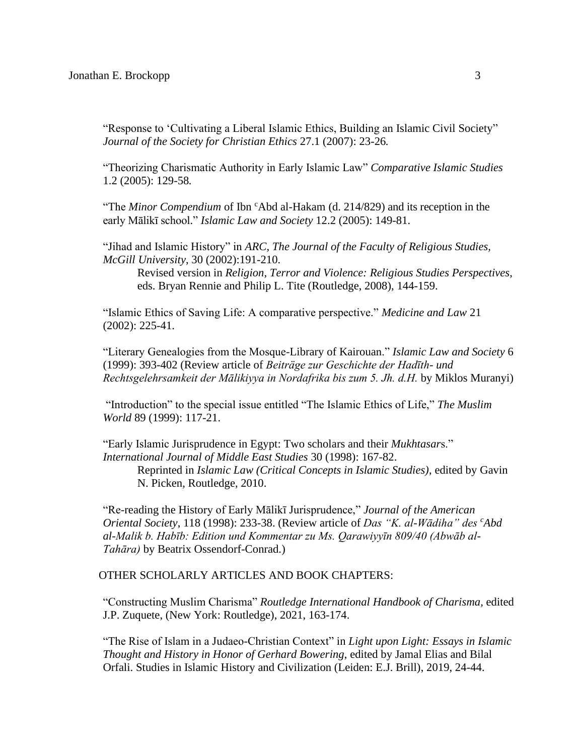"Response to 'Cultivating a Liberal Islamic Ethics, Building an Islamic Civil Society" *Journal of the Society for Christian Ethics* 27.1 (2007): 23-26*.*

"Theorizing Charismatic Authority in Early Islamic Law" *Comparative Islamic Studies* 1.2 (2005): 129-58*.*

"The *Minor Compendium* of Ibn <sup>c</sup>Abd al-Hakam (d. 214/829) and its reception in the early Mālikī school." *Islamic Law and Society* 12.2 (2005): 149-81.

"Jihad and Islamic History" in *ARC, The Journal of the Faculty of Religious Studies, McGill University*, 30 (2002):191-210.

Revised version in *Religion, Terror and Violence: Religious Studies Perspectives*, eds. Bryan Rennie and Philip L. Tite (Routledge, 2008), 144-159.

"Islamic Ethics of Saving Life: A comparative perspective." *Medicine and Law* 21 (2002): 225-41.

"Literary Genealogies from the Mosque-Library of Kairouan." *Islamic Law and Society* 6 (1999): 393-402 (Review article of *Beiträge zur Geschichte der Hadīth- und Rechtsgelehrsamkeit der Mālikiyya in Nordafrika bis zum 5. Jh. d.H.* by Miklos Muranyi)

"Introduction" to the special issue entitled "The Islamic Ethics of Life," *The Muslim World* 89 (1999): 117-21.

"Early Islamic Jurisprudence in Egypt: Two scholars and their *Mukhtasar*s." *International Journal of Middle East Studies* 30 (1998): 167-82. Reprinted in *Islamic Law (Critical Concepts in Islamic Studies)*, edited by Gavin N. Picken, Routledge, 2010.

"Re-reading the History of Early Mālikī Jurisprudence," *Journal of the American Oriental Society*, 118 (1998): 233-38. (Review article of *Das "K. al-Wādiha" des <sup>c</sup>Abd al-Malik b. Habīb: Edition und Kommentar zu Ms. Qarawiyyīn 809/40 (Abwāb al-Tahāra)* by Beatrix Ossendorf-Conrad.)

#### OTHER SCHOLARLY ARTICLES AND BOOK CHAPTERS:

"Constructing Muslim Charisma" *Routledge International Handbook of Charisma,* edited J.P. Zuquete, (New York: Routledge), 2021, 163-174.

"The Rise of Islam in a Judaeo-Christian Context" in *Light upon Light: Essays in Islamic Thought and History in Honor of Gerhard Bowering*, edited by Jamal Elias and Bilal Orfali. Studies in Islamic History and Civilization (Leiden: E.J. Brill), 2019, 24-44.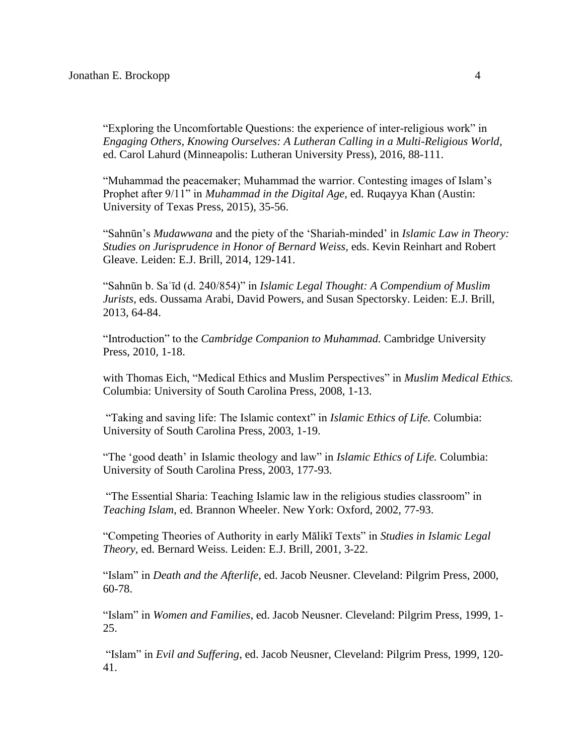"Exploring the Uncomfortable Questions: the experience of inter-religious work" in *Engaging Others, Knowing Ourselves: A Lutheran Calling in a Multi-Religious World,*  ed. Carol Lahurd (Minneapolis: Lutheran University Press), 2016, 88-111.

"Muhammad the peacemaker; Muhammad the warrior. Contesting images of Islam's Prophet after 9/11" in *Muhammad in the Digital Age,* ed. Ruqayya Khan (Austin: University of Texas Press, 2015), 35-56.

"Sahnūn's *Mudawwana* and the piety of the 'Shariah-minded' in *Islamic Law in Theory: Studies on Jurisprudence in Honor of Bernard Weiss,* eds. Kevin Reinhart and Robert Gleave. Leiden: E.J. Brill, 2014, 129-141.

"Sahnūn b. Saʿīd (d. 240/854)" in *Islamic Legal Thought: A Compendium of Muslim Jurists*, eds. Oussama Arabi, David Powers, and Susan Spectorsky. Leiden: E.J. Brill, 2013, 64-84.

"Introduction" to the *Cambridge Companion to Muhammad.* Cambridge University Press, 2010*,* 1-18.

with Thomas Eich, "Medical Ethics and Muslim Perspectives" in *Muslim Medical Ethics.*  Columbia: University of South Carolina Press, 2008, 1-13.

"Taking and saving life: The Islamic context" in *Islamic Ethics of Life.* Columbia: University of South Carolina Press, 2003, 1-19.

"The 'good death' in Islamic theology and law" in *Islamic Ethics of Life.* Columbia: University of South Carolina Press, 2003, 177-93.

"The Essential Sharia: Teaching Islamic law in the religious studies classroom" in *Teaching Islam*, ed. Brannon Wheeler. New York: Oxford, 2002, 77-93.

"Competing Theories of Authority in early Mālikī Texts" in *Studies in Islamic Legal Theory,* ed. Bernard Weiss. Leiden: E.J. Brill, 2001, 3-22.

"Islam" in *Death and the Afterlife*, ed. Jacob Neusner. Cleveland: Pilgrim Press, 2000, 60-78.

"Islam" in *Women and Families*, ed. Jacob Neusner. Cleveland: Pilgrim Press, 1999, 1- 25.

"Islam" in *Evil and Suffering*, ed. Jacob Neusner, Cleveland: Pilgrim Press, 1999, 120- 41.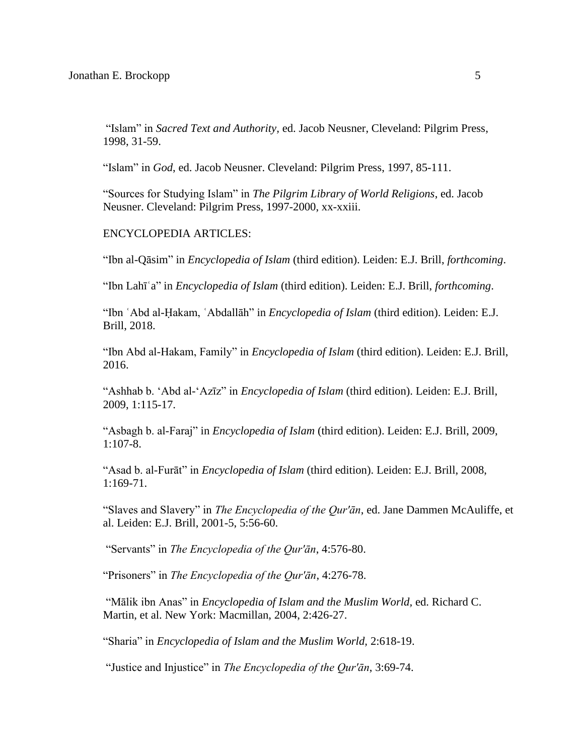"Islam" in *Sacred Text and Authority,* ed. Jacob Neusner, Cleveland: Pilgrim Press, 1998, 31-59.

"Islam" in *God*, ed. Jacob Neusner. Cleveland: Pilgrim Press, 1997, 85-111.

"Sources for Studying Islam" in *The Pilgrim Library of World Religions*, ed. Jacob Neusner. Cleveland: Pilgrim Press, 1997-2000, xx-xxiii.

#### ENCYCLOPEDIA ARTICLES:

"Ibn al-Qāsim" in *Encyclopedia of Islam* (third edition). Leiden: E.J. Brill, *forthcoming*.

"Ibn Lahīʿa" in *Encyclopedia of Islam* (third edition). Leiden: E.J. Brill, *forthcoming*.

"Ibn ʿAbd al-Ḥakam, ʿAbdallāh" in *Encyclopedia of Islam* (third edition). Leiden: E.J. Brill, 2018.

"Ibn Abd al-Hakam, Family" in *Encyclopedia of Islam* (third edition). Leiden: E.J. Brill, 2016.

"Ashhab b. 'Abd al-'Azīz" in *Encyclopedia of Islam* (third edition). Leiden: E.J. Brill, 2009, 1:115-17.

"Asbagh b. al-Faraj" in *Encyclopedia of Islam* (third edition). Leiden: E.J. Brill, 2009, 1:107-8.

"Asad b. al-Furāt" in *Encyclopedia of Islam* (third edition). Leiden: E.J. Brill, 2008, 1:169-71.

"Slaves and Slavery" in *The Encyclopedia of the Qur'ān*, ed. Jane Dammen McAuliffe, et al. Leiden: E.J. Brill, 2001-5, 5:56-60.

"Servants" in *The Encyclopedia of the Qur'ān*, 4:576-80.

"Prisoners" in *The Encyclopedia of the Qur'ān*, 4:276-78.

"Mālik ibn Anas" in *Encyclopedia of Islam and the Muslim World,* ed. Richard C. Martin, et al. New York: Macmillan, 2004, 2:426-27.

"Sharia" in *Encyclopedia of Islam and the Muslim World,* 2:618-19.

"Justice and Injustice" in *The Encyclopedia of the Qur'ān*, 3:69-74.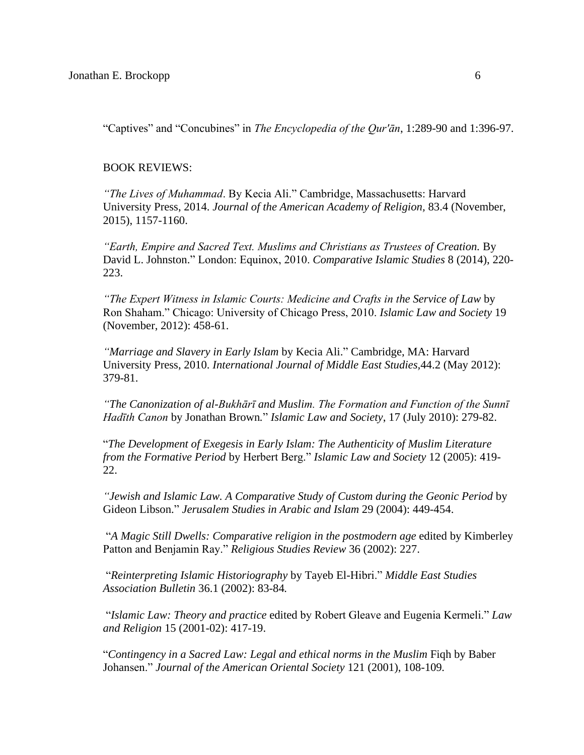"Captives" and "Concubines" in *The Encyclopedia of the Qur'ān*, 1:289-90 and 1:396-97.

### BOOK REVIEWS:

*"The Lives of Muhammad*. By Kecia Ali." Cambridge, Massachusetts: Harvard University Press, 2014. *Journal of the American Academy of Religion,* 83.4 (November, 2015), 1157-1160.

*"Earth, Empire and Sacred Text. Muslims and Christians as Trustees of Creation.* By David L. Johnston." London: Equinox, 2010. *Comparative Islamic Studies* 8 (2014), 220- 223.

*"The Expert Witness in Islamic Courts: Medicine and Crafts in the Service of Law* by Ron Shaham." Chicago: University of Chicago Press, 2010. *Islamic Law and Society* 19 (November, 2012): 458-61.

*"Marriage and Slavery in Early Islam* by Kecia Ali." Cambridge, MA: Harvard University Press, 2010. *International Journal of Middle East Studies,*44.2 (May 2012): 379-81.

*"The Canonization of al-Bukhārī and Muslim. The Formation and Function of the Sunnī Hadīth Canon* by Jonathan Brown*.*" *Islamic Law and Society*, 17 (July 2010): 279-82.

"*The Development of Exegesis in Early Islam: The Authenticity of Muslim Literature from the Formative Period* by Herbert Berg." *Islamic Law and Society* 12 (2005): 419- 22.

*"Jewish and Islamic Law. A Comparative Study of Custom during the Geonic Period* by Gideon Libson." *Jerusalem Studies in Arabic and Islam* 29 (2004): 449-454.

"*A Magic Still Dwells: Comparative religion in the postmodern age* edited by Kimberley Patton and Benjamin Ray." *Religious Studies Review* 36 (2002): 227.

"*Reinterpreting Islamic Historiography* by Tayeb El-Hibri." *Middle East Studies Association Bulletin* 36.1 (2002): 83-84*.*

"*Islamic Law: Theory and practice* edited by Robert Gleave and Eugenia Kermeli." *Law and Religion* 15 (2001-02): 417-19.

"*Contingency in a Sacred Law: Legal and ethical norms in the Muslim* Fiqh by Baber Johansen." *Journal of the American Oriental Society* 121 (2001), 108-109*.*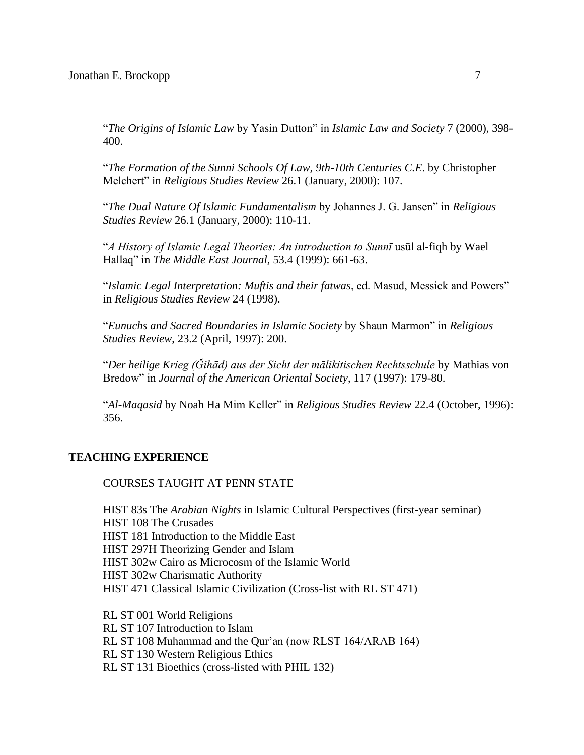"*The Origins of Islamic Law* by Yasin Dutton" in *Islamic Law and Society* 7 (2000), 398- 400.

"*The Formation of the Sunni Schools Of Law, 9th-10th Centuries C.E*. by Christopher Melchert" in *Religious Studies Review* 26.1 (January, 2000): 107.

"*The Dual Nature Of Islamic Fundamentalism* by Johannes J. G. Jansen" in *Religious Studies Review* 26.1 (January, 2000): 110-11.

"*A History of Islamic Legal Theories: An introduction to Sunnī* usūl al-fiqh by Wael Hallaq" in *The Middle East Journal,* 53.4 (1999): 661-63.

"*Islamic Legal Interpretation: Muftis and their fatwas*, ed. Masud, Messick and Powers" in *Religious Studies Review* 24 (1998).

"*Eunuchs and Sacred Boundaries in Islamic Society* by Shaun Marmon" in *Religious Studies Review*, 23.2 (April, 1997): 200.

"*Der heilige Krieg (Ğihād) aus der Sicht der mālikitischen Rechtsschule* by Mathias von Bredow" in *Journal of the American Oriental Society*, 117 (1997): 179-80.

"*Al-Maqasid* by Noah Ha Mim Keller" in *Religious Studies Review* 22.4 (October, 1996): 356.

## **TEACHING EXPERIENCE**

COURSES TAUGHT AT PENN STATE

HIST 83s The *Arabian Nights* in Islamic Cultural Perspectives (first-year seminar) HIST 108 The Crusades HIST 181 Introduction to the Middle East HIST 297H Theorizing Gender and Islam HIST 302w Cairo as Microcosm of the Islamic World HIST 302w Charismatic Authority HIST 471 Classical Islamic Civilization (Cross-list with RL ST 471)

RL ST 001 World Religions RL ST 107 Introduction to Islam RL ST 108 Muhammad and the Qur'an (now RLST 164/ARAB 164) RL ST 130 Western Religious Ethics RL ST 131 Bioethics (cross-listed with PHIL 132)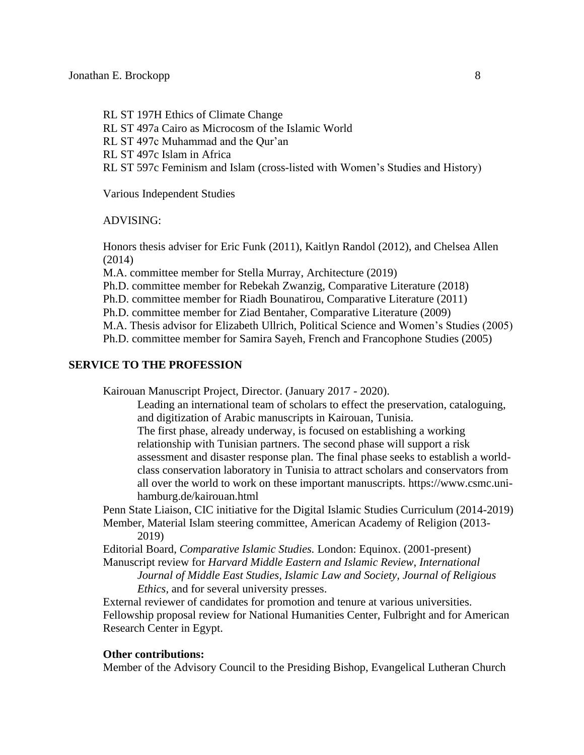RL ST 197H Ethics of Climate Change RL ST 497a Cairo as Microcosm of the Islamic World RL ST 497c Muhammad and the Qur'an RL ST 497c Islam in Africa RL ST 597c Feminism and Islam (cross-listed with Women's Studies and History)

Various Independent Studies

ADVISING:

Honors thesis adviser for Eric Funk (2011), Kaitlyn Randol (2012), and Chelsea Allen (2014)

M.A. committee member for Stella Murray, Architecture (2019)

Ph.D. committee member for Rebekah Zwanzig, Comparative Literature (2018)

Ph.D. committee member for Riadh Bounatirou, Comparative Literature (2011)

Ph.D. committee member for Ziad Bentaher, Comparative Literature (2009)

M.A. Thesis advisor for Elizabeth Ullrich, Political Science and Women's Studies (2005)

Ph.D. committee member for Samira Sayeh, French and Francophone Studies (2005)

## **SERVICE TO THE PROFESSION**

Kairouan Manuscript Project, Director. (January 2017 - 2020).

Leading an international team of scholars to effect the preservation, cataloguing, and digitization of Arabic manuscripts in Kairouan, Tunisia.

The first phase, already underway, is focused on establishing a working relationship with Tunisian partners. The second phase will support a risk assessment and disaster response plan. The final phase seeks to establish a worldclass conservation laboratory in Tunisia to attract scholars and conservators from all over the world to work on these important manuscripts. https://www.csmc.unihamburg.de/kairouan.html

Penn State Liaison, CIC initiative for the Digital Islamic Studies Curriculum (2014-2019) Member, Material Islam steering committee, American Academy of Religion (2013- 2019)

Editorial Board, *Comparative Islamic Studies.* London: Equinox. (2001-present)

Manuscript review for *Harvard Middle Eastern and Islamic Review*, *International Journal of Middle East Studies, Islamic Law and Society, Journal of Religious Ethics,* and for several university presses.

External reviewer of candidates for promotion and tenure at various universities. Fellowship proposal review for National Humanities Center, Fulbright and for American Research Center in Egypt.

## **Other contributions:**

Member of the Advisory Council to the Presiding Bishop, Evangelical Lutheran Church